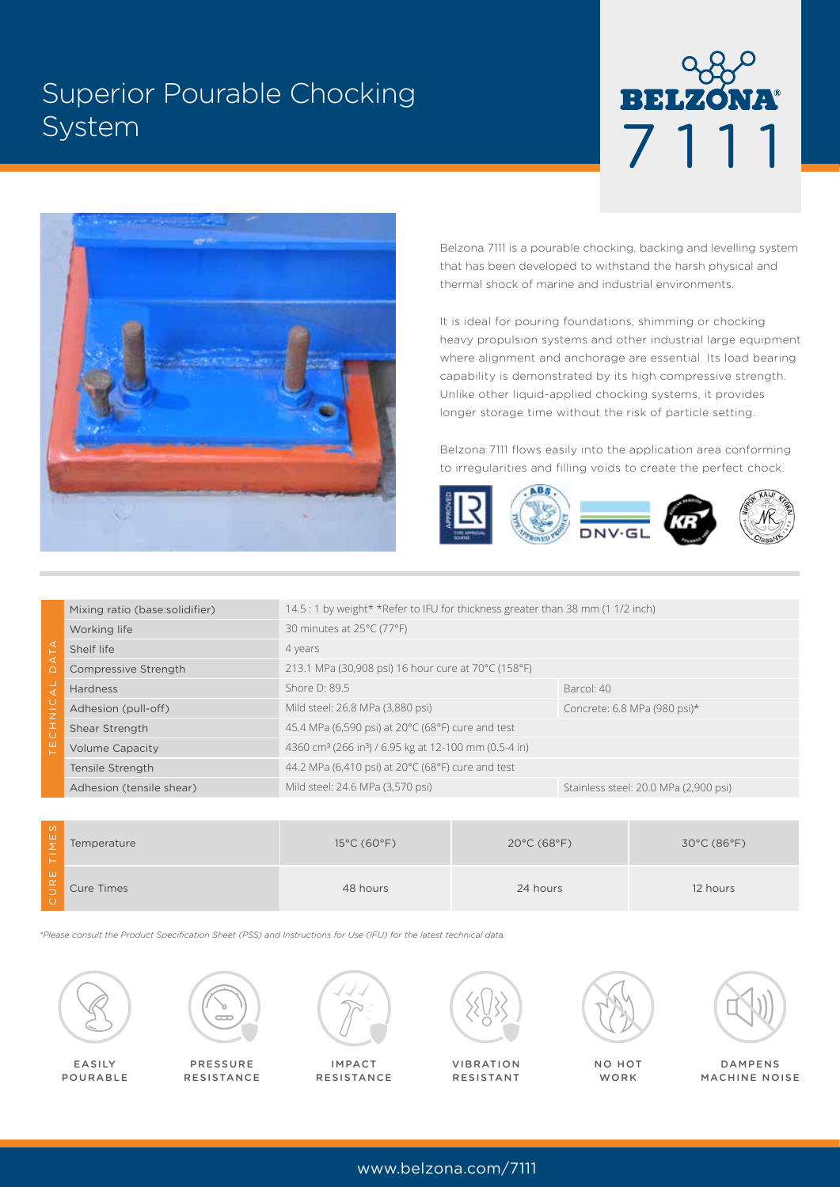# Superior Pourable Chocking System





Belzona 7111 is a pourable chocking, backing and levelling system that has been developed to withstand the harsh physical and thermal shock of marine and industrial environments.

It is ideal for pouring foundations, shimming or chocking heavy propulsion systems and other industrial large equipment where alignment and anchorage are essential. Its load bearing capability is demonstrated by its high compressive strength. Unlike other liquid-applied chocking systems, it provides longer storage time without the risk of particle setting.

Belzona 7111 flows easily into the application area conforming to irregularities and filling voids to create the perfect chock.



|                | Mixing ratio (base:solidifier) | 14.5 : 1 by weight* *Refer to IFU for thickness greater than 38 mm (1 1/2 inch) |                                       |  |
|----------------|--------------------------------|---------------------------------------------------------------------------------|---------------------------------------|--|
| ◁              | Working life                   | 30 minutes at 25°C (77°F)                                                       |                                       |  |
|                | Shelf life                     | 4 years                                                                         |                                       |  |
|                | Compressive Strength           | 213.1 MPa (30,908 psi) 16 hour cure at 70°C (158°F)                             |                                       |  |
| ィ<br>$\bar{z}$ | <b>Hardness</b>                | Shore D: 89.5                                                                   | Barcol: 40                            |  |
|                | Adhesion (pull-off)            | Mild steel: 26.8 MPa (3,880 psi)                                                | Concrete: 6.8 MPa (980 psi)*          |  |
|                | Shear Strength                 | 45.4 MPa (6,590 psi) at 20°C (68°F) cure and test                               |                                       |  |
|                | <b>Volume Capacity</b>         | 4360 cm <sup>3</sup> (266 in <sup>3</sup> ) / 6.95 kg at 12-100 mm (0.5-4 in)   |                                       |  |
|                | Tensile Strength               | 44.2 MPa (6,410 psi) at $20^{\circ}$ C (68°F) cure and test                     |                                       |  |
|                | Adhesion (tensile shear)       | Mild steel: 24.6 MPa (3,570 psi)                                                | Stainless steel: 20.0 MPa (2,900 psi) |  |
|                |                                |                                                                                 |                                       |  |

| တ<br>ுய       | Temperature | $15^{\circ}$ C (60 $^{\circ}$ F) | $20^{\circ}$ C (68 $^{\circ}$ F) | $30^{\circ}$ C (86 $^{\circ}$ F) |
|---------------|-------------|----------------------------------|----------------------------------|----------------------------------|
| ய<br>$\alpha$ | Cure Times  | 48 hours                         | 24 hours                         | 12 hours                         |

*\*Please consult the Product Specification Sheet (PSS) and Instructions for Use (IFU) for the latest technical data.*



EASILY POURABLE



PRESSURE RESISTANCE



IMPACT RESISTANCE



VIBRATION RESISTANT







DAMPENS MACHINE NOISE

www.belzona.com/7111